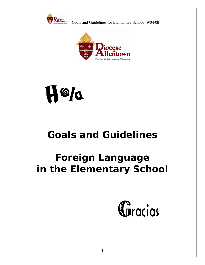



# $\mathcal{P}$ H

# **Goals and Guidelines**

# **Foreign Language in the Elementary School**

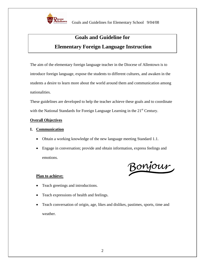

## **Goals and Guideline for Elementary Foreign Language Instruction**

The aim of the elementary foreign language teacher in the Diocese of Allentown is to introduce foreign language, expose the students to different cultures, and awaken in the students a desire to learn more about the world around them and communication among nationalities.

These guidelines are developed to help the teacher achieve these goals and to coordinate with the National Standards for Foreign Language Learning in the  $21<sup>st</sup>$  Century.

#### **Overall Objectives**

#### **I. Communication**

- Obtain a working knowledge of the new language meeting Standard 1.1.
- Engage in conversation; provide and obtain information, express feelings and emotions.

Bonjour

#### **Plan to achieve:**

- Teach greetings and introductions.
- Teach expressions of health and feelings.
- Teach conversation of origin, age, likes and dislikes, pastimes, sports, time and weather.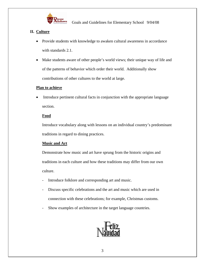

#### **II. Culture**

- Provide students with knowledge to awaken cultural awareness in accordance with standards 2.1.
- Make students aware of other people's world views; their unique way of life and of the patterns of behavior which order their world. Additionally show contributions of other cultures to the world at large.

#### **Plan to achieve**

• Introduce pertinent cultural facts in conjunction with the appropriate language section.

#### **Food**

Introduce vocabulary along with lessons on an individual country's predominant traditions in regard to dining practices.

#### **Music and Art**

Demonstrate how music and art have sprung from the historic origins and traditions in each culture and how these traditions may differ from our own culture.

- Introduce folklore and corresponding art and music.
- Discuss specific celebrations and the art and music which are used in connection with these celebrations; for example, Christmas customs.
- Show examples of architecture in the target language countries.

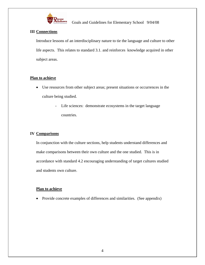

#### **III Connections**

Introduce lessons of an interdisciplinary nature to tie the language and culture to other life aspects. This relates to standard 3.1. and reinforces knowledge acquired in other subject areas.

#### **Plan to achieve**

- Use resources from other subject areas; present situations or occurrences in the culture being studied.
	- Life sciences: demonstrate ecosystems in the target language countries.

#### **IV Comparisons**

In conjunction with the culture sections, help students understand differences and make comparisons between their own culture and the one studied. This is in accordance with standard 4.2 encouraging understanding of target cultures studied and students own culture.

#### **Plan to achieve**

• Provide concrete examples of differences and similarities. (See appendix)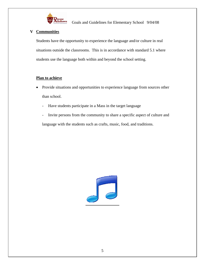

**Figures**<br>**Example:** Goals and Guidelines for Elementary School 9/04/08

#### **V Communities**

Students have the opportunity to experience the language and/or culture in real situations outside the classrooms. This is in accordance with standard 5.1 where students use the language both within and beyond the school setting.

#### **Plan to achieve**

- Provide situations and opportunities to experience language from sources other than school.
	- Have students participate in a Mass in the target language
	- Invite persons from the community to share a specific aspect of culture and language with the students such as crafts, music, food, and traditions.

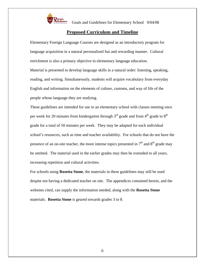

#### **Proposed Curriculum and Timeline**

Elementary Foreign Language Courses are designed as an introductory program for language acquisition in a natural personalized fun and rewarding manner. Cultural enrichment is also a primary objective in elementary language education. Material is presented to develop language skills in a natural order: listening, speaking, reading, and writing. Simultaneously, students will acquire vocabulary from everyday English and information on the elements of culture, customs, and way of life of the people whose language they are studying.

These guidelines are intended for use in an elementary school with classes meeting once per week for 20 minutes from kindergarten through  $3<sup>rd</sup>$  grade and from  $4<sup>th</sup>$  grade to  $8<sup>th</sup>$ grade for a total of 50 minutes per week. They may be adapted for each individual school's resources, such as time and teacher availability. For schools that do not have the presence of an on-site teacher, the more intense topics presented in  $7<sup>th</sup>$  and  $8<sup>th</sup>$  grade may be omitted. The material used in the earlier grades may then be extended to all years, increasing repetition and cultural activities.

For schools using **Rosetta Stone**, the materials in these guidelines may still be used despite not having a dedicated teacher on site. The appendices contained herein, and the websites cited, can supply the information needed, along with the **Rosetta Stone** materials. **Rosetta Stone** is geared towards grades 3 to 8.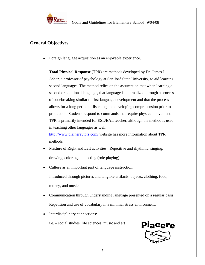

### **General Objectives**

• Foreign language acquisition as an enjoyable experience.

**Total Physical Response** (TPR) are methods developed by Dr. James J. Asher, a professor of psychology at San José State University, to aid learning second languages. The method relies on the assumption that when learning a second or additional language, that language is internalized through a process of codebreaking similar to first language development and that the process allows for a long period of listening and developing comprehension prior to production. Students respond to commands that require physical movement. TPR is primarily intended for ESL/EAL teacher, although the method is used in teaching other languages as well.

http://www.blaineraytprs.com/ website has more information about TPR methods

- Mixture of Right and Left activities: Repetitive and rhythmic, singing, drawing, coloring, and acting (role playing).
- Culture as an important part of language instruction. Introduced through pictures and tangible artifacts, objects, clothing, food, money, and music.
- Communication through understanding language presented on a regular basis. Repetition and use of vocabulary in a minimal stress environment.
- Interdisciplinary connections:

i.e. – social studies, life sciences, music and art

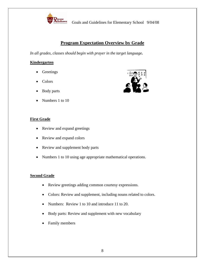

### **Program Expectation Overview by Grade**

*In all grades, classes should begin with prayer in the target language.* 

#### **Kindergarten**

- Greetings
- Colors
- Body parts
- Numbers 1 to 10

#### **First Grade**

- Review and expand greetings
- Review and expand colors
- Review and supplement body parts
- Numbers 1 to 10 using age appropriate mathematical operations.

#### **Second Grade**

- Review greetings adding common courtesy expressions.
- Colors: Review and supplement, including nouns related to colors.
- Numbers: Review 1 to 10 and introduce 11 to 20.
- Body parts: Review and supplement with new vocabulary
- Family members

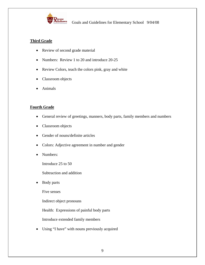

#### **Third Grade**

- Review of second grade material
- Numbers: Review 1 to 20 and introduce 20-25
- Review Colors, teach the colors pink, gray and white
- Classroom objects
- Animals

#### **Fourth Grade**

- General review of greetings, manners, body parts, family members and numbers
- Classroom objects
- Gender of nouns/definite articles
- Colors: Adjective agreement in number and gender
- Numbers:

Introduce 25 to 50

Subtraction and addition

• Body parts

Five senses

Indirect object pronouns

Health: Expressions of painful body parts

Introduce extended family members

• Using "I have" with nouns previously acquired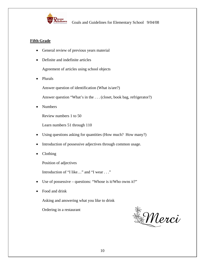

#### **Fifth Grade**

- General review of previous years material
- Definite and indefinite articles

Agreement of articles using school objects

• Plurals

Answer question of identification (What is/are?)

Answer question "What's in the . . . (closet, book bag, refrigerator?)

• Numbers

Review numbers 1 to 50

Learn numbers 51 through 110

- Using questions asking for quantities (How much? How many?)
- Introduction of possessive adjectives through common usage.
- Clothing

Position of adjectives

Introduction of "I like…" and "I wear . . ."

- Use of possessive questions: "Whose is it/Who owns it?"
- Food and drink

Asking and answering what you like to drink

Ordering in a restaurant

**Merci**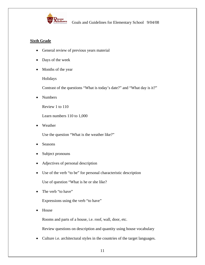

#### **Sixth Grade**

- General review of previous years material
- Days of the week
- Months of the year

Holidays

Contrast of the questions "What is today's date?" and "What day is it?"

• Numbers

Review 1 to 110

Learn numbers 110 to 1,000

• Weather

Use the question "What is the weather like?"

- **Seasons**
- Subject pronouns
- Adjectives of personal description
- Use of the verb "to be" for personal characteristic description

Use of question "What is he or she like?

• The verb "to have"

Expressions using the verb "to have"

• House

Rooms and parts of a house, i.e. roof, wall, door, etc.

Review questions on description and quantity using house vocabulary

• Culture i.e. architectural styles in the countries of the target languages.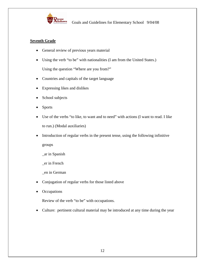

#### **Seventh Grade**

- General review of previous years material
- Using the verb "to be" with nationalities (I am from the United States.)

Using the question "Where are you from?"

- Countries and capitals of the target language
- Expressing likes and dislikes
- School subjects
- Sports
- Use of the verbs "to like, to want and to need" with actions (I want to read. I like to run.) (Modal auxiliaries)
- Introduction of regular verbs in the present tense, using the following infinitive

groups

\_ar in Spanish

\_er in French

\_en in German

- Conjugation of regular verbs for those listed above
- Occupations

Review of the verb "to be" with occupations.

• Culture: pertinent cultural material may be introduced at any time during the year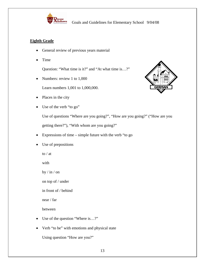

#### **Eighth Grade**

- General review of previous years material
- Time

Question: "What time is it?" and "At what time is…?"

• Numbers: review 1 to 1,000

Learn numbers 1,001 to 1,000,000.

- Places in the city
- Use of the verb "to go"



Use of questions "Where are you going?", "How are you going?" ("How are you getting there?"), "With whom are you going?"

- Expressions of time simple future with the verb "to go
- Use of prepositions

to / at

with

by / in / on

on top of / under

in front of / behind

near / far

between

- Use of the question "Where is...?"
- Verb "to be" with emotions and physical state

Using question "How are you?"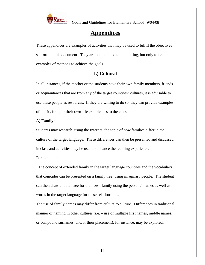

### **Appendices**

These appendices are examples of activities that may be used to fulfill the objectives set forth in this document. They are not intended to be limiting, but only to be examples of methods to achieve the goals.

#### **I.) Cultural**

In all instances, if the teacher or the students have their own family members, friends or acquaintances that are from any of the target countries' cultures, it is advisable to use these people as resources. If they are willing to do so, they can provide examples of music, food, or their own-life experiences to the class.

#### **A) Family:**

Students may research, using the Internet, the topic of how families differ in the culture of the target language. These differences can then be presented and discussed in class and activities may be used to enhance the learning experience.

For example:

 The concept of extended family in the target language countries and the vocabulary that coincides can be presented on a family tree, using imaginary people. The student can then draw another tree for their own family using the persons' names as well as words in the target language for these relationships.

The use of family names may differ from culture to culture. Differences in traditional manner of naming in other cultures (i.e. – use of multiple first names, middle names, or compound surnames, and/or their placement), for instance, may be explored.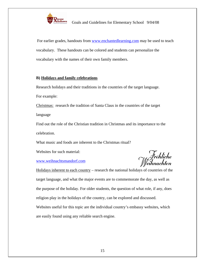

For earlier grades, handouts from www.enchantedlearning.com may be used to teach vocabulary. These handouts can be colored and students can personalize the vocabulary with the names of their own family members.

#### **B) Holidays and family celebrations**

Research holidays and their traditions in the countries of the target language. For example:

Christmas: research the tradition of Santa Claus in the countries of the target language

Find out the role of the Christian tradition in Christmas and its importance to the celebration.

What music and foods are inherent to the Christmas ritual?

Websites for such material:

www.weihnachtsmandorf.com

Holidays inherent to each country – research the national holidays of countries of the target language, and what the major events are to commemorate the day, as well as the purpose of the holiday. For older students, the question of what role, if any, does religion play in the holidays of the country, can be explored and discussed. Websites useful for this topic are the individual country's embassy websites, which are easily found using any reliable search engine.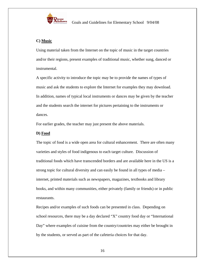

#### **C) Music**

Using material taken from the Internet on the topic of music in the target countries and/or their regions, present examples of traditional music, whether sung, danced or instrumental.

A specific activity to introduce the topic may be to provide the names of types of music and ask the students to explore the Internet for examples they may download. In addition, names of typical local instruments or dances may be given by the teacher and the students search the internet for pictures pertaining to the instruments or dances.

For earlier grades, the teacher may just present the above materials.

#### **D) Food**

The topic of food is a wide open area for cultural enhancement. There are often many varieties and styles of food indigenous to each target culture. Discussion of traditional foods which have transcended borders and are available here in the US is a strong topic for cultural diversity and can easily be found in all types of media – internet, printed materials such as newspapers, magazines, textbooks and library books, and within many communities, either privately (family or friends) or in public restaurants.

Recipes and/or examples of such foods can be presented in class. Depending on school resources, there may be a day declared "X" country food day or "International Day" where examples of cuisine from the country/countries may either be brought in by the students, or served as part of the cafeteria choices for that day.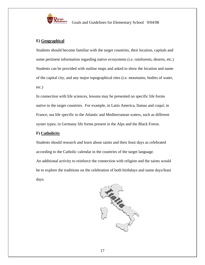

#### **E) Geographical**

Students should become familiar with the target countries, their location, capitals and some pertinent information regarding native ecosystems (i.e. rainforests, deserts, etc.) Students can be provided with outline maps and asked to show the location and name of the capital city, and any major topographical sites (i.e. mountains, bodies of water, etc.)

In connection with life sciences, lessons may be presented on specific life forms native to the target countries. For example, in Latin America, llamas and coquí; in France, sea life specific to the Atlantic and Mediterranean waters, such as different oyster types; in Germany life forms present in the Alps and the Black Forest.

#### **F) Catholicity**

Students should research and learn about saints and their feast days as celebrated according to the Catholic calendar in the countries of the target language. An additional activity to reinforce the connection with religion and the saints would be to explore the traditions on the celebration of both birthdays and name days/feast days.

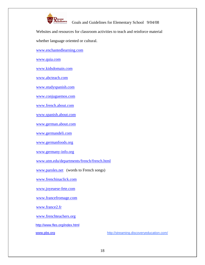

Websites and resources for classroom activities to teach and reinforce material

whether language oriented or cultural.

www.enchantedlearning.com

www.quia.com

www.kidsdomain.com

www.abcteach.com

www.studyspanish.com

www.conjuguemos.com

www.french.about.com

www.spanish.about.com

www.german.about.com

www.germandeli.com

www.germanfoods.org

www.germany-info.org

www.utm.edu/departments/french/french.html

www.paroles.net (words to French songs)

www.frenchinaclick.com

www.joyeuese-fete.com

www.francefromage.com

www.france2.fr

www.frenchteachers.org

http://www.fles.org/index.html

www.pbs.org http://streaming.discoveryeducation.com/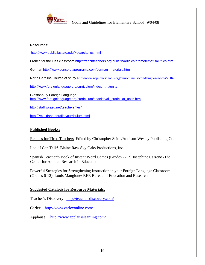

#### **Resources:**

http://www.public.iastate.edu/~egarcia/fles.html

French for the Fles classroom http://frenchteachers.org/bulletin/articles/promote/pdf/salutfles.htm

German http://www.concordiaprograms.com/german\_materials.htm

North Carolina Course of study http://www.ncpublicschools.org/curriculum/secondlanguages/scos/2004/

http://www.foreignlanguage.org/curriculum/index.htm#units

Glastonbury Foreign Language http://www.foreignlanguage.org/curriculum/spanish/all\_curricular\_units.htm

http://staff.wcasd.net/teachers/fles/

http://ivc.uidaho.edu/fles/curriculum.html

#### **Published Books:**

Recipes for Tired Teachers Edited by Christopher Scion/Addison-Wesley Publishing Co.

Look I Can Talk! Blaine Ray/ Sky Oaks Productions, Inc.

Spanish Teacher's Book of Instant Word Games (Grades 7-12) Josephine Carreno /The Center for Applied Research in Education

Powerful Strategies for Strengthening Instruction in your Foreign Language Classroom (Grades 6-12) Louis Mangione/ BER Bureau of Education and Research

#### **Suggested Catalogs for Resource Materials:**

Teacher's Discovery http://teachersdiscovery.com/

Carlex http://www.carlexonline.com/

Applause http://www.applauselearning.com/